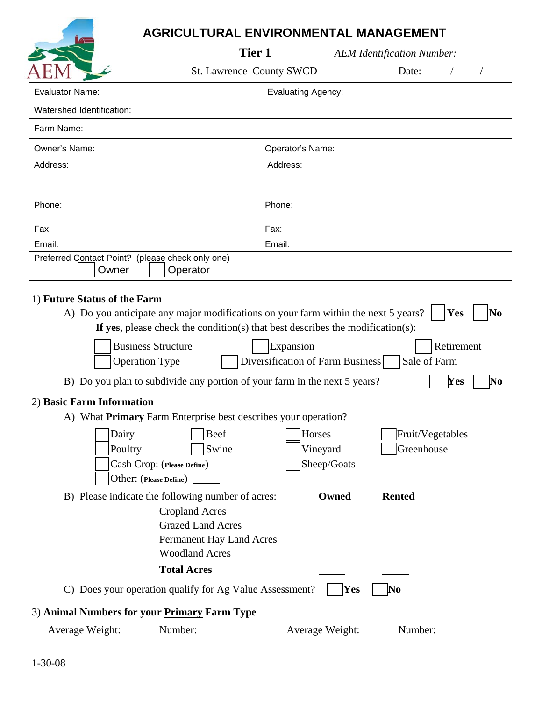## **AGRICULTURAL ENVIRONMENTAL MANAGEMENT**

|                                                                                 | Tier 1                                                                                                                                                                   |                                   | <b>AEM Identification Number:</b> |                                             |
|---------------------------------------------------------------------------------|--------------------------------------------------------------------------------------------------------------------------------------------------------------------------|-----------------------------------|-----------------------------------|---------------------------------------------|
|                                                                                 | <b>St. Lawrence County SWCD</b>                                                                                                                                          |                                   | Date: $\angle$                    |                                             |
| <b>Evaluator Name:</b>                                                          |                                                                                                                                                                          | <b>Evaluating Agency:</b>         |                                   |                                             |
| Watershed Identification:                                                       |                                                                                                                                                                          |                                   |                                   |                                             |
| Farm Name:                                                                      |                                                                                                                                                                          |                                   |                                   |                                             |
| Owner's Name:                                                                   |                                                                                                                                                                          | Operator's Name:                  |                                   |                                             |
| Address:                                                                        | Address:                                                                                                                                                                 |                                   |                                   |                                             |
|                                                                                 |                                                                                                                                                                          |                                   |                                   |                                             |
| Phone:                                                                          | Phone:                                                                                                                                                                   |                                   |                                   |                                             |
| Fax:                                                                            | Fax:                                                                                                                                                                     |                                   |                                   |                                             |
| Email:                                                                          | Email:                                                                                                                                                                   |                                   |                                   |                                             |
| Preferred Contact Point? (please check only one)<br>Owner                       | Operator                                                                                                                                                                 |                                   |                                   |                                             |
| <b>Business Structure</b><br><b>Operation Type</b><br>2) Basic Farm Information | If yes, please check the condition(s) that best describes the modification(s):<br>Expansion<br>B) Do you plan to subdivide any portion of your farm in the next 5 years? | Diversification of Farm Business  | Sale of Farm                      | Retirement<br>Yes<br>$\mathbf{N}\mathbf{o}$ |
|                                                                                 | A) What <b>Primary</b> Farm Enterprise best describes your operation?                                                                                                    |                                   |                                   |                                             |
| Dairy<br>Poultry                                                                | Beef<br>Swine<br>Cash Crop: (Please Define) ______<br>Other: (Please Define)                                                                                             | Horses<br>Vineyard<br>Sheep/Goats | Fruit/Vegetables<br>Greenhouse    |                                             |
|                                                                                 | B) Please indicate the following number of acres:                                                                                                                        | Owned                             | <b>Rented</b>                     |                                             |
|                                                                                 | <b>Cropland Acres</b>                                                                                                                                                    |                                   |                                   |                                             |
|                                                                                 | <b>Grazed Land Acres</b>                                                                                                                                                 |                                   |                                   |                                             |
|                                                                                 | Permanent Hay Land Acres                                                                                                                                                 |                                   |                                   |                                             |
|                                                                                 | <b>Woodland Acres</b>                                                                                                                                                    |                                   |                                   |                                             |
|                                                                                 | <b>Total Acres</b>                                                                                                                                                       |                                   |                                   |                                             |
|                                                                                 | C) Does your operation qualify for Ag Value Assessment?                                                                                                                  | Yes                               | No                                |                                             |
| 3) Animal Numbers for your Primary Farm Type                                    |                                                                                                                                                                          |                                   |                                   |                                             |
| Average Weight: Number:                                                         |                                                                                                                                                                          | Average Weight: ______            | Number:                           |                                             |